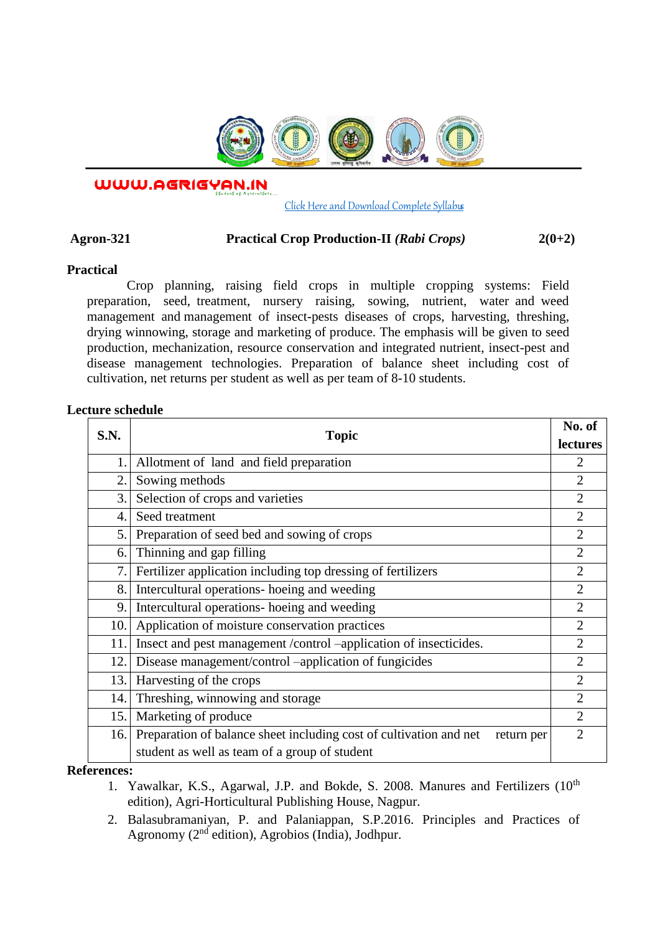

WWW.AGRIGYAN.IN

### [Click Here and Download Complete Syllabus](http://agrigyan.in/)

# **Agron-321 Practical Crop Production-II** *(Rabi Crops)* **2(0+2)**

## **Practical**

 $\overline{a}$ 

Crop planning, raising field crops in multiple cropping systems: Field preparation, seed, treatment, nursery raising, sowing, nutrient, water and weed management and management of insect-pests diseases of crops, harvesting, threshing, drying winnowing, storage and marketing of produce. The emphasis will be given to seed production, mechanization, resource conservation and integrated nutrient, insect-pest and disease management technologies. Preparation of balance sheet including cost of cultivation, net returns per student as well as per team of 8-10 students.

# **Lecture schedule**

| S.N.             | Topic                                                                            | No. of                      |
|------------------|----------------------------------------------------------------------------------|-----------------------------|
|                  |                                                                                  | lectures                    |
| 1.               | Allotment of land and field preparation                                          |                             |
| $\overline{2}$ . | Sowing methods                                                                   | $\overline{2}$              |
| 3.               | Selection of crops and varieties                                                 | $\overline{2}$              |
| 4.               | Seed treatment                                                                   | $\overline{2}$              |
| 5.               | Preparation of seed bed and sowing of crops                                      | $\overline{2}$              |
| 6.               | Thinning and gap filling                                                         | $\overline{2}$              |
| 7.               | Fertilizer application including top dressing of fertilizers                     | $\overline{2}$              |
| 8.               | Intercultural operations- hoeing and weeding                                     | $\overline{2}$              |
| 9.               | Intercultural operations- hoeing and weeding                                     | $\overline{2}$              |
| 10.              | Application of moisture conservation practices                                   | $\mathcal{D}_{\mathcal{L}}$ |
| 11.              | Insect and pest management /control -application of insecticides.                | $\overline{2}$              |
| 12.              | Disease management/control -application of fungicides                            | $\overline{2}$              |
| 13.              | Harvesting of the crops                                                          | $\overline{2}$              |
| 14.              | Threshing, winnowing and storage                                                 | $\overline{2}$              |
| 15.              | Marketing of produce                                                             | $\overline{2}$              |
| 16.              | Preparation of balance sheet including cost of cultivation and net<br>return per | $\overline{2}$              |
|                  | student as well as team of a group of student                                    |                             |

#### **References:**

- 1. Yawalkar, K.S., Agarwal, J.P. and Bokde, S. 2008. Manures and Fertilizers (10<sup>th</sup>) edition), Agri-Horticultural Publishing House, Nagpur.
- 2. Balasubramaniyan, P. and Palaniappan, S.P.2016. Principles and Practices of Agronomy  $(2<sup>nd</sup>$  edition), Agrobios (India), Jodhpur.